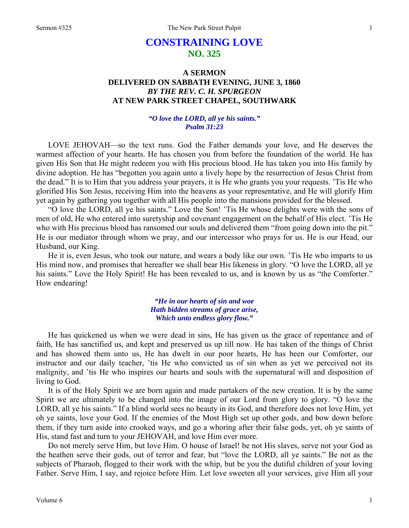# **CONSTRAINING LOVE NO. 325**

## **A SERMON DELIVERED ON SABBATH EVENING, JUNE 3, 1860**  *BY THE REV. C. H. SPURGEON*  **AT NEW PARK STREET CHAPEL, SOUTHWARK**

### *"O love the LORD, all ye his saints." Psalm 31:23*

LOVE JEHOVAH—so the text runs. God the Father demands your love, and He deserves the warmest affection of your hearts. He has chosen you from before the foundation of the world. He has given His Son that He might redeem you with His precious blood. He has taken you into His family by divine adoption. He has "begotten you again unto a lively hope by the resurrection of Jesus Christ from the dead." It is to Him that you address your prayers, it is He who grants you your requests. 'Tis He who glorified His Son Jesus, receiving Him into the heavens as your representative, and He will glorify Him yet again by gathering you together with all His people into the mansions provided for the blessed.

"O love the LORD, all ye his saints." Love the Son! 'Tis He whose delights were with the sons of men of old, He who entered into suretyship and covenant engagement on the behalf of His elect. 'Tis He who with His precious blood has ransomed our souls and delivered them "from going down into the pit." He is our mediator through whom we pray, and our intercessor who prays for us. He is our Head, our Husband, our King.

He it is, even Jesus, who took our nature, and wears a body like our own. 'Tis He who imparts to us His mind now, and promises that hereafter we shall bear His likeness in glory. "O love the LORD, all ye his saints." Love the Holy Spirit! He has been revealed to us, and is known by us as "the Comforter." How endearing!

### *"He in our hearts of sin and woe Hath bidden streams of grace arise, Which unto endless glory flow."*

He has quickened us when we were dead in sins, He has given us the grace of repentance and of faith, He has sanctified us, and kept and preserved us up till now. He has taken of the things of Christ and has showed them unto us, He has dwelt in our poor hearts, He has been our Comforter, our instructor and our daily teacher, 'tis He who convicted us of sin when as yet we perceived not its malignity, and 'tis He who inspires our hearts and souls with the supernatural will and disposition of living to God.

It is of the Holy Spirit we are born again and made partakers of the new creation. It is by the same Spirit we are ultimately to be changed into the image of our Lord from glory to glory. "O love the LORD, all ye his saints." If a blind world sees no beauty in its God, and therefore does not love Him, yet oh ye saints, love your God. If the enemies of the Most High set up other gods, and bow down before them, if they turn aside into crooked ways, and go a whoring after their false gods, yet, oh ye saints of His, stand fast and turn to your JEHOVAH, and love Him ever more.

Do not merely serve Him, but love Him. O house of Israel! be not His slaves, serve not your God as the heathen serve their gods, out of terror and fear, but "love the LORD, all ye saints." Be not as the subjects of Pharaoh, flogged to their work with the whip, but be you the dutiful children of your loving Father. Serve Him, I say, and rejoice before Him. Let love sweeten all your services, give Him all your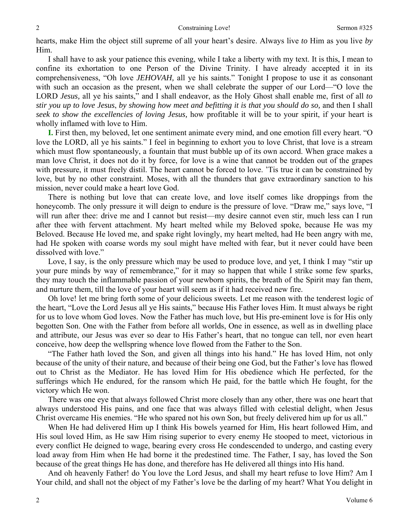hearts, make Him the object still supreme of all your heart's desire. Always live *to* Him as you live *by* Him.

I shall have to ask your patience this evening, while I take a liberty with my text. It is this, I mean to confine its exhortation to one Person of the Divine Trinity. I have already accepted it in its comprehensiveness, "Oh love *JEHOVAH,* all ye his saints." Tonight I propose to use it as consonant with such an occasion as the present, when we shall celebrate the supper of our Lord—"O love the LORD *Jesus,* all ye his saints," and I shall endeavor, as the Holy Ghost shall enable me, first of all *to stir you up to love Jesus*, *by showing how meet and befitting it is that you should do so,* and then I shall *seek to show the excellencies of loving Jesus,* how profitable it will be to your spirit, if your heart is wholly inflamed with love to Him.

**I.** First then, my beloved, let one sentiment animate every mind, and one emotion fill every heart. "O love the LORD, all ye his saints." I feel in beginning to exhort you to love Christ, that love is a stream which must flow spontaneously, a fountain that must bubble up of its own accord. When grace makes a man love Christ, it does not do it by force, for love is a wine that cannot be trodden out of the grapes with pressure, it must freely distil. The heart cannot be forced to love. 'Tis true it can be constrained by love, but by no other constraint. Moses, with all the thunders that gave extraordinary sanction to his mission, never could make a heart love God.

There is nothing but love that can create love, and love itself comes like droppings from the honeycomb. The only pressure it will deign to endure is the pressure of love. "Draw me," says love, "I will run after thee: drive me and I cannot but resist—my desire cannot even stir, much less can I run after thee with fervent attachment. My heart melted while my Beloved spoke, because He was my Beloved. Because He loved me, and spake right lovingly, my heart melted, had He been angry with me, had He spoken with coarse words my soul might have melted with fear, but it never could have been dissolved with love."

Love, I say, is the only pressure which may be used to produce love, and yet, I think I may "stir up your pure minds by way of remembrance," for it may so happen that while I strike some few sparks, they may touch the inflammable passion of your newborn spirits, the breath of the Spirit may fan them, and nurture them, till the love of your heart will seem as if it had received new fire.

Oh love! let me bring forth some of your delicious sweets. Let me reason with the tenderest logic of the heart, "Love the Lord Jesus all ye His saints," because His Father loves Him. It must always be right for us to love whom God loves. Now the Father has much love, but His pre-eminent love is for His only begotten Son. One with the Father from before all worlds, One in essence, as well as in dwelling place and attribute, our Jesus was ever so dear to His Father's heart, that no tongue can tell, nor even heart conceive, how deep the wellspring whence love flowed from the Father to the Son.

"The Father hath loved the Son, and given all things into his hand." He has loved Him, not only because of the unity of their nature, and because of their being one God, but the Father's love has flowed out to Christ as the Mediator. He has loved Him for His obedience which He perfected, for the sufferings which He endured, for the ransom which He paid, for the battle which He fought, for the victory which He won.

There was one eye that always followed Christ more closely than any other, there was one heart that always understood His pains, and one face that was always filled with celestial delight, when Jesus Christ overcame His enemies. "He who spared not his own Son, but freely delivered him up for us all."

When He had delivered Him up I think His bowels yearned for Him, His heart followed Him, and His soul loved Him, as He saw Him rising superior to every enemy He stooped to meet, victorious in every conflict He deigned to wage, bearing every cross He condescended to undergo, and casting every load away from Him when He had borne it the predestined time. The Father, I say, has loved the Son because of the great things He has done, and therefore has He delivered all things into His hand.

And oh heavenly Father! do You love the Lord Jesus, and shall my heart refuse to love Him? Am I Your child, and shall not the object of my Father's love be the darling of my heart? What You delight in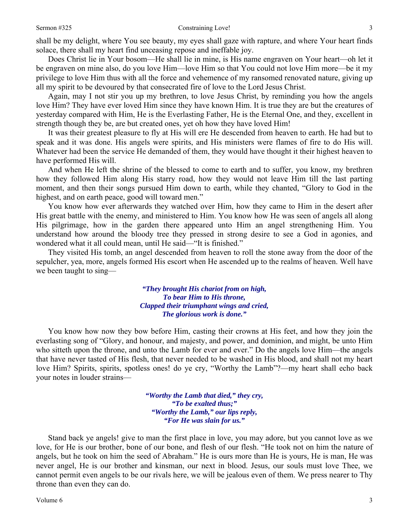shall be my delight, where You see beauty, my eyes shall gaze with rapture, and where Your heart finds solace, there shall my heart find unceasing repose and ineffable joy.

Does Christ lie in Your bosom—He shall lie in mine, is His name engraven on Your heart—oh let it be engraven on mine also, do you love Him—love Him so that You could not love Him more—be it my privilege to love Him thus with all the force and vehemence of my ransomed renovated nature, giving up all my spirit to be devoured by that consecrated fire of love to the Lord Jesus Christ.

Again, may I not stir you up my brethren, to love Jesus Christ, by reminding you how the angels love Him? They have ever loved Him since they have known Him. It is true they are but the creatures of yesterday compared with Him, He is the Everlasting Father, He is the Eternal One, and they, excellent in strength though they be, are but created ones, yet oh how they have loved Him!

It was their greatest pleasure to fly at His will ere He descended from heaven to earth. He had but to speak and it was done. His angels were spirits, and His ministers were flames of fire to do His will. Whatever had been the service He demanded of them, they would have thought it their highest heaven to have performed His will.

And when He left the shrine of the blessed to come to earth and to suffer, you know, my brethren how they followed Him along His starry road, how they would not leave Him till the last parting moment, and then their songs pursued Him down to earth, while they chanted, "Glory to God in the highest, and on earth peace, good will toward men."

You know how ever afterwards they watched over Him, how they came to Him in the desert after His great battle with the enemy, and ministered to Him. You know how He was seen of angels all along His pilgrimage, how in the garden there appeared unto Him an angel strengthening Him. You understand how around the bloody tree they pressed in strong desire to see a God in agonies, and wondered what it all could mean, until He said—"It is finished."

They visited His tomb, an angel descended from heaven to roll the stone away from the door of the sepulcher, yea, more, angels formed His escort when He ascended up to the realms of heaven. Well have we been taught to sing—

> *"They brought His chariot from on high, To bear Him to His throne, Clapped their triumphant wings and cried, The glorious work is done."*

You know how now they bow before Him, casting their crowns at His feet, and how they join the everlasting song of "Glory, and honour, and majesty, and power, and dominion, and might, be unto Him who sitteth upon the throne, and unto the Lamb for ever and ever." Do the angels love Him—the angels that have never tasted of His flesh, that never needed to be washed in His blood, and shall not my heart love Him? Spirits, spirits, spotless ones! do ye cry, "Worthy the Lamb"?—my heart shall echo back your notes in louder strains—

> *"Worthy the Lamb that died," they cry, "To be exalted thus;" "Worthy the Lamb," our lips reply, "For He was slain for us."*

Stand back ye angels! give to man the first place in love, you may adore, but you cannot love as we love, for He is our brother, bone of our bone, and flesh of our flesh. "He took not on him the nature of angels, but he took on him the seed of Abraham." He is ours more than He is yours, He is man, He was never angel, He is our brother and kinsman, our next in blood. Jesus, our souls must love Thee, we cannot permit even angels to be our rivals here, we will be jealous even of them. We press nearer to Thy throne than even they can do.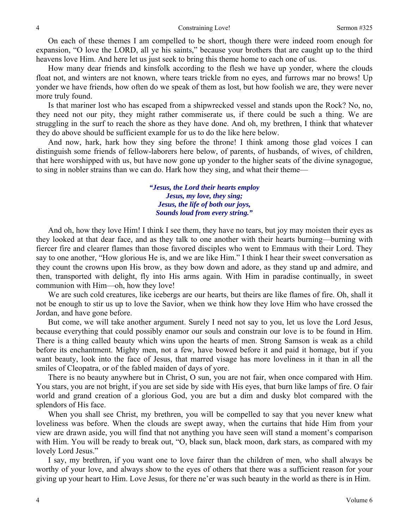On each of these themes I am compelled to be short, though there were indeed room enough for expansion, "O love the LORD, all ye his saints," because your brothers that are caught up to the third heavens love Him. And here let us just seek to bring this theme home to each one of us.

How many dear friends and kinsfolk according to the flesh we have up yonder, where the clouds float not, and winters are not known, where tears trickle from no eyes, and furrows mar no brows! Up yonder we have friends, how often do we speak of them as lost, but how foolish we are, they were never more truly found.

Is that mariner lost who has escaped from a shipwrecked vessel and stands upon the Rock? No, no, they need not our pity, they might rather commiserate us, if there could be such a thing. We are struggling in the surf to reach the shore as they have done. And oh, my brethren, I think that whatever they do above should be sufficient example for us to do the like here below.

And now, hark, hark how they sing before the throne! I think among those glad voices I can distinguish some friends of fellow-laborers here below, of parents, of husbands, of wives, of children, that here worshipped with us, but have now gone up yonder to the higher seats of the divine synagogue, to sing in nobler strains than we can do. Hark how they sing, and what their theme—

> *"Jesus, the Lord their hearts employ Jesus, my love, they sing; Jesus, the life of both our joys, Sounds loud from every string."*

And oh, how they love Him! I think I see them, they have no tears, but joy may moisten their eyes as they looked at that dear face, and as they talk to one another with their hearts burning—burning with fiercer fire and clearer flames than those favored disciples who went to Emmaus with their Lord. They say to one another, "How glorious He is, and we are like Him." I think I hear their sweet conversation as they count the crowns upon His brow, as they bow down and adore, as they stand up and admire, and then, transported with delight, fly into His arms again. With Him in paradise continually, in sweet communion with Him—oh, how they love!

We are such cold creatures, like icebergs are our hearts, but theirs are like flames of fire. Oh, shall it not be enough to stir us up to love the Savior, when we think how they love Him who have crossed the Jordan, and have gone before.

But come, we will take another argument. Surely I need not say to you, let us love the Lord Jesus, because everything that could possibly enamor our souls and constrain our love is to be found in Him. There is a thing called beauty which wins upon the hearts of men. Strong Samson is weak as a child before its enchantment. Mighty men, not a few, have bowed before it and paid it homage, but if you want beauty, look into the face of Jesus, that marred visage has more loveliness in it than in all the smiles of Cleopatra, or of the fabled maiden of days of yore.

There is no beauty anywhere but in Christ, O sun, you are not fair, when once compared with Him. You stars, you are not bright, if you are set side by side with His eyes, that burn like lamps of fire. O fair world and grand creation of a glorious God, you are but a dim and dusky blot compared with the splendors of His face.

When you shall see Christ, my brethren, you will be compelled to say that you never knew what loveliness was before. When the clouds are swept away, when the curtains that hide Him from your view are drawn aside, you will find that not anything you have seen will stand a moment's comparison with Him. You will be ready to break out, "O, black sun, black moon, dark stars, as compared with my lovely Lord Jesus."

I say, my brethren, if you want one to love fairer than the children of men, who shall always be worthy of your love, and always show to the eyes of others that there was a sufficient reason for your giving up your heart to Him. Love Jesus, for there ne'er was such beauty in the world as there is in Him.

4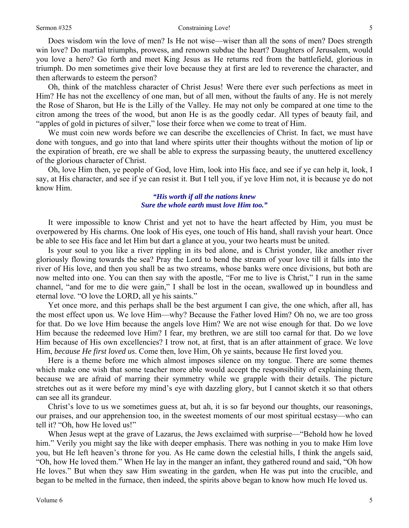#### Sermon #325 Constraining Love!

Does wisdom win the love of men? Is He not wise—wiser than all the sons of men? Does strength win love? Do martial triumphs, prowess, and renown subdue the heart? Daughters of Jerusalem, would you love a hero? Go forth and meet King Jesus as He returns red from the battlefield, glorious in triumph. Do men sometimes give their love because they at first are led to reverence the character, and then afterwards to esteem the person?

Oh, think of the matchless character of Christ Jesus! Were there ever such perfections as meet in Him? He has not the excellency of one man, but of all men, without the faults of any. He is not merely the Rose of Sharon, but He is the Lilly of the Valley. He may not only be compared at one time to the citron among the trees of the wood, but anon He is as the goodly cedar. All types of beauty fail, and "apples of gold in pictures of silver," lose their force when we come to treat of Him.

We must coin new words before we can describe the excellencies of Christ. In fact, we must have done with tongues, and go into that land where spirits utter their thoughts without the motion of lip or the expiration of breath, ere we shall be able to express the surpassing beauty, the unuttered excellency of the glorious character of Christ.

Oh, love Him then, ye people of God, love Him, look into His face, and see if ye can help it, look, I say, at His character, and see if ye can resist it. But I tell you, if ye love Him not, it is because ye do not know Him.

> *"His worth if all the nations knew Sure the whole earth* **must** *love Him too."*

It were impossible to know Christ and yet not to have the heart affected by Him, you must be overpowered by His charms. One look of His eyes, one touch of His hand, shall ravish your heart. Once be able to see His face and let Him but dart a glance at you, your two hearts must be united.

Is your soul to you like a river rippling in its bed alone, and is Christ yonder, like another river gloriously flowing towards the sea? Pray the Lord to bend the stream of your love till it falls into the river of His love, and then you shall be as two streams, whose banks were once divisions, but both are now melted into one. You can then say with the apostle, "For me to live is Christ," I run in the same channel, "and for me to die were gain," I shall be lost in the ocean, swallowed up in boundless and eternal love. "O love the LORD, all ye his saints."

Yet once more, and this perhaps shall be the best argument I can give, the one which, after all, has the most effect upon us. We love Him—why? Because the Father loved Him? Oh no, we are too gross for that. Do we love Him because the angels love Him? We are not wise enough for that. Do we love Him because the redeemed love Him? I fear, my brethren, we are still too carnal for that. Do we love Him because of His own excellencies? I trow not, at first, that is an after attainment of grace. We love Him, *because He first loved us*. Come then, love Him, Oh ye saints, because He first loved you.

Here is a theme before me which almost imposes silence on my tongue. There are some themes which make one wish that some teacher more able would accept the responsibility of explaining them, because we are afraid of marring their symmetry while we grapple with their details. The picture stretches out as it were before my mind's eye with dazzling glory, but I cannot sketch it so that others can see all its grandeur.

Christ's love to us we sometimes guess at, but ah, it is so far beyond our thoughts, our reasonings, our praises, and our apprehension too, in the sweetest moments of our most spiritual ecstasy—who can tell it? "Oh, how He loved us!"

When Jesus wept at the grave of Lazarus, the Jews exclaimed with surprise—"Behold how he loved him." Verily you might say the like with deeper emphasis. There was nothing in you to make Him love you, but He left heaven's throne for you. As He came down the celestial hills, I think the angels said, "Oh, how He loved them." When He lay in the manger an infant, they gathered round and said, "Oh how He loves." But when they saw Him sweating in the garden, when He was put into the crucible, and began to be melted in the furnace, then indeed, the spirits above began to know how much He loved us.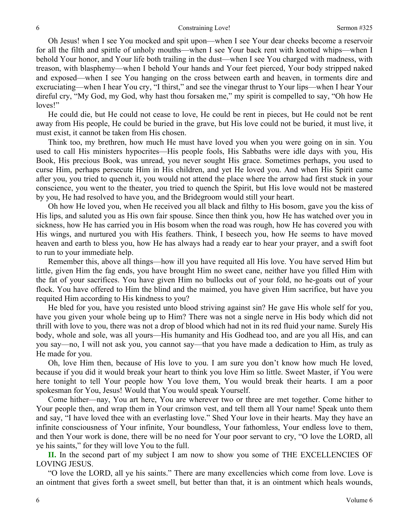Oh Jesus! when I see You mocked and spit upon—when I see Your dear cheeks become a reservoir for all the filth and spittle of unholy mouths—when I see Your back rent with knotted whips—when I behold Your honor, and Your life both trailing in the dust—when I see You charged with madness, with treason, with blasphemy—when I behold Your hands and Your feet pierced, Your body stripped naked and exposed—when I see You hanging on the cross between earth and heaven, in torments dire and excruciating—when I hear You cry, "I thirst," and see the vinegar thrust to Your lips—when I hear Your direful cry, "My God, my God, why hast thou forsaken me," my spirit is compelled to say, "Oh how He loves!"

He could die, but He could not cease to love, He could be rent in pieces, but He could not be rent away from His people, He could be buried in the grave, but His love could not be buried, it must live, it must exist, it cannot be taken from His chosen.

Think too, my brethren, how much He must have loved you when you were going on in sin. You used to call His ministers hypocrites—His people fools, His Sabbaths were idle days with you, His Book, His precious Book, was unread, you never sought His grace. Sometimes perhaps, you used to curse Him, perhaps persecute Him in His children, and yet He loved you. And when His Spirit came after you, you tried to quench it, you would not attend the place where the arrow had first stuck in your conscience, you went to the theater, you tried to quench the Spirit, but His love would not be mastered by you, He had resolved to have you, and the Bridegroom would still your heart.

Oh how He loved you, when He received you all black and filthy to His bosom, gave you the kiss of His lips, and saluted you as His own fair spouse. Since then think you, how He has watched over you in sickness, how He has carried you in His bosom when the road was rough, how He has covered you with His wings, and nurtured you with His feathers. Think, I beseech you, how He seems to have moved heaven and earth to bless you, how He has always had a ready ear to hear your prayer, and a swift foot to run to your immediate help.

Remember this, above all things—how ill you have requited all His love. You have served Him but little, given Him the fag ends, you have brought Him no sweet cane, neither have you filled Him with the fat of your sacrifices. You have given Him no bullocks out of your fold, no he-goats out of your flock. You have offered to Him the blind and the maimed, you have given Him sacrifice, but have you requited Him according to His kindness to you?

He bled for you, have you resisted unto blood striving against sin? He gave His whole self for you, have you given your whole being up to Him? There was not a single nerve in His body which did not thrill with love to you, there was not a drop of blood which had not in its red fluid your name. Surely His body, whole and sole, was all yours—His humanity and His Godhead too, and are you all His, and can you say—no, I will not ask you, you cannot say—that you have made a dedication to Him, as truly as He made for you.

Oh, love Him then, because of His love to you. I am sure you don't know how much He loved, because if you did it would break your heart to think you love Him so little. Sweet Master, if You were here tonight to tell Your people how You love them, You would break their hearts. I am a poor spokesman for You, Jesus! Would that You would speak Yourself.

Come hither—nay, You art here, You are wherever two or three are met together. Come hither to Your people then, and wrap them in Your crimson vest, and tell them all Your name! Speak unto them and say, "I have loved thee with an everlasting love." Shed Your love in their hearts. May they have an infinite consciousness of Your infinite, Your boundless, Your fathomless, Your endless love to them, and then Your work is done, there will be no need for Your poor servant to cry, "O love the LORD, all ye his saints," for they will love You to the full.

**II.** In the second part of my subject I am now to show you some of THE EXCELLENCIES OF LOVING JESUS.

"O love the LORD, all ye his saints." There are many excellencies which come from love. Love is an ointment that gives forth a sweet smell, but better than that, it is an ointment which heals wounds,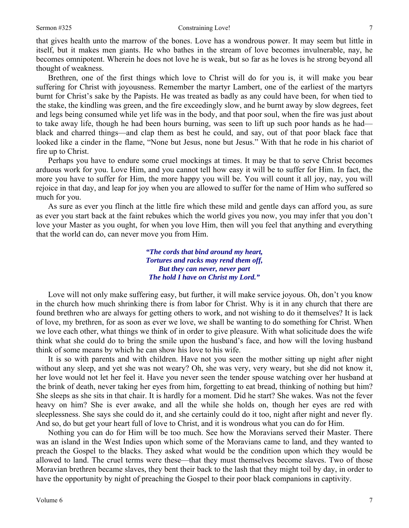#### Sermon #325 Constraining Love!

that gives health unto the marrow of the bones. Love has a wondrous power. It may seem but little in itself, but it makes men giants. He who bathes in the stream of love becomes invulnerable, nay, he becomes omnipotent. Wherein he does not love he is weak, but so far as he loves is he strong beyond all thought of weakness.

Brethren, one of the first things which love to Christ will do for you is, it will make you bear suffering for Christ with joyousness. Remember the martyr Lambert, one of the earliest of the martyrs burnt for Christ's sake by the Papists. He was treated as badly as any could have been, for when tied to the stake, the kindling was green, and the fire exceedingly slow, and he burnt away by slow degrees, feet and legs being consumed while yet life was in the body, and that poor soul, when the fire was just about to take away life, though he had been hours burning, was seen to lift up such poor hands as he had black and charred things—and clap them as best he could, and say, out of that poor black face that looked like a cinder in the flame, "None but Jesus, none but Jesus." With that he rode in his chariot of fire up to Christ.

Perhaps you have to endure some cruel mockings at times. It may be that to serve Christ becomes arduous work for you. Love Him, and you cannot tell how easy it will be to suffer for Him. In fact, the more you have to suffer for Him, the more happy you will be. You will count it all joy, nay, you will rejoice in that day, and leap for joy when you are allowed to suffer for the name of Him who suffered so much for you.

As sure as ever you flinch at the little fire which these mild and gentle days can afford you, as sure as ever you start back at the faint rebukes which the world gives you now, you may infer that you don't love your Master as you ought, for when you love Him, then will you feel that anything and everything that the world can do, can never move you from Him.

> *"The cords that bind around my heart, Tortures and racks may rend them off, But they can never, never part The hold I have on Christ my Lord."*

Love will not only make suffering easy, but further, it will make service joyous. Oh, don't you know in the church how much shrinking there is from labor for Christ. Why is it in any church that there are found brethren who are always for getting others to work, and not wishing to do it themselves? It is lack of love, my brethren, for as soon as ever we love, we shall be wanting to do something for Christ. When we love each other, what things we think of in order to give pleasure. With what solicitude does the wife think what she could do to bring the smile upon the husband's face, and how will the loving husband think of some means by which he can show his love to his wife.

It is so with parents and with children. Have not you seen the mother sitting up night after night without any sleep, and yet she was not weary? Oh, she was very, very weary, but she did not know it, her love would not let her feel it. Have you never seen the tender spouse watching over her husband at the brink of death, never taking her eyes from him, forgetting to eat bread, thinking of nothing but him? She sleeps as she sits in that chair. It is hardly for a moment. Did he start? She wakes. Was not the fever heavy on him? She is ever awake, and all the while she holds on, though her eyes are red with sleeplessness. She says she could do it, and she certainly could do it too, night after night and never fly. And so, do but get your heart full of love to Christ, and it is wondrous what you can do for Him.

Nothing you can do for Him will be too much. See how the Moravians served their Master. There was an island in the West Indies upon which some of the Moravians came to land, and they wanted to preach the Gospel to the blacks. They asked what would be the condition upon which they would be allowed to land. The cruel terms were these—that they must themselves become slaves. Two of those Moravian brethren became slaves, they bent their back to the lash that they might toil by day, in order to have the opportunity by night of preaching the Gospel to their poor black companions in captivity.

7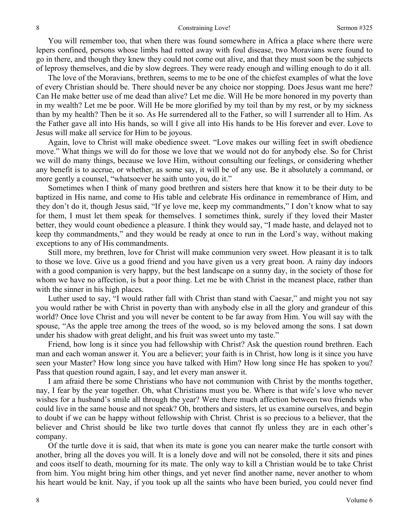You will remember too, that when there was found somewhere in Africa a place where there were lepers confined, persons whose limbs had rotted away with foul disease, two Moravians were found to go in there, and though they knew they could not come out alive, and that they must soon be the subjects of leprosy themselves, and die by slow degrees. They were ready enough and willing enough to do it all.

The love of the Moravians, brethren, seems to me to be one of the chiefest examples of what the love of every Christian should be. There should never be any choice nor stopping. Does Jesus want me here? Can He make better use of me dead than alive? Let me die. Will He be more honored in my poverty than in my wealth? Let me be poor. Will He be more glorified by my toil than by my rest, or by my sickness than by my health? Then be it so. As He surrendered all to the Father, so will I surrender all to Him. As the Father gave all into His hands, so will I give all into His hands to be His forever and ever. Love to Jesus will make all service for Him to be joyous.

Again, love to Christ will make obedience sweet. "Love makes our willing feet in swift obedience move." What things we will do for those we love that we would not do for anybody else. So for Christ we will do many things, because we love Him, without consulting our feelings, or considering whether any benefit is to accrue, or whether, as some say, it will be of any use. Be it absolutely a command, or more gently a counsel, "whatsoever he saith unto you, do it."

Sometimes when I think of many good brethren and sisters here that know it to be their duty to be baptized in His name, and come to His table and celebrate His ordinance in remembrance of Him, and they don't do it, though Jesus said, "If ye love me, keep my commandments," I don't know what to say for them, I must let them speak for themselves. I sometimes think, surely if they loved their Master better, they would count obedience a pleasure. I think they would say, "I made haste, and delayed not to keep thy commandments," and they would be ready at once to run in the Lord's way, without making exceptions to any of His commandments.

Still more, my brethren, love for Christ will make communion very sweet. How pleasant it is to talk to those we love. Give us a good friend and you have given us a very great boon. A rainy day indoors with a good companion is very happy, but the best landscape on a sunny day, in the society of those for whom we have no affection, is but a poor thing. Let me be with Christ in the meanest place, rather than with the sinner in his high places.

Luther used to say, "I would rather fall with Christ than stand with Caesar," and might you not say you would rather be with Christ in poverty than with anybody else in all the glory and grandeur of this world? Once love Christ and you will never be content to be far away from Him. You will say with the spouse, "As the apple tree among the trees of the wood, so is my beloved among the sons. I sat down under his shadow with great delight, and his fruit was sweet unto my taste."

Friend, how long is it since you had fellowship with Christ? Ask the question round brethren. Each man and each woman answer it. You are a believer; your faith is in Christ, how long is it since you have seen your Master? How long since you have talked with Him? How long since He has spoken to you? Pass that question round again, I say, and let every man answer it.

I am afraid there be some Christians who have not communion with Christ by the months together, nay, I fear by the year together. Oh, what Christians must you be. Where is that wife's love who never wishes for a husband's smile all through the year? Were there much affection between two friends who could live in the same house and not speak? Oh, brothers and sisters, let us examine ourselves, and begin to doubt if we can be happy without fellowship with Christ. Christ is so precious to a believer, that the believer and Christ should be like two turtle doves that cannot fly unless they are in each other's company.

Of the turtle dove it is said, that when its mate is gone you can nearer make the turtle consort with another, bring all the doves you will. It is a lonely dove and will not be consoled, there it sits and pines and coos itself to death, mourning for its mate. The only way to kill a Christian would be to take Christ from him. You might bring him other things, and yet never find another name, never another to whom his heart would be knit. Nay, if you took up all the saints who have been buried, you could never find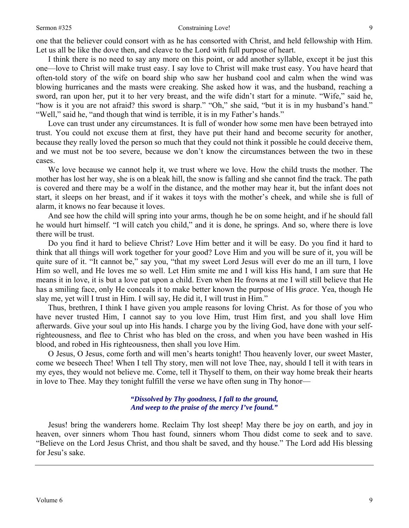### Sermon #325 Constraining Love!

one that the believer could consort with as he has consorted with Christ, and held fellowship with Him. Let us all be like the dove then, and cleave to the Lord with full purpose of heart.

I think there is no need to say any more on this point, or add another syllable, except it be just this one—love to Christ will make trust easy. I say love to Christ will make trust easy. You have heard that often-told story of the wife on board ship who saw her husband cool and calm when the wind was blowing hurricanes and the masts were creaking. She asked how it was, and the husband, reaching a sword, ran upon her, put it to her very breast, and the wife didn't start for a minute. "Wife," said he, "how is it you are not afraid? this sword is sharp." "Oh," she said, "but it is in my husband's hand." "Well," said he, "and though that wind is terrible, it is in my Father's hands."

Love can trust under any circumstances. It is full of wonder how some men have been betrayed into trust. You could not excuse them at first, they have put their hand and become security for another, because they really loved the person so much that they could not think it possible he could deceive them, and we must not be too severe, because we don't know the circumstances between the two in these cases.

We love because we cannot help it, we trust where we love. How the child trusts the mother. The mother has lost her way, she is on a bleak hill, the snow is falling and she cannot find the track. The path is covered and there may be a wolf in the distance, and the mother may hear it, but the infant does not start, it sleeps on her breast, and if it wakes it toys with the mother's cheek, and while she is full of alarm, it knows no fear because it loves.

And see how the child will spring into your arms, though he be on some height, and if he should fall he would hurt himself. "I will catch you child," and it is done, he springs. And so, where there is love there will be trust.

Do you find it hard to believe Christ? Love Him better and it will be easy. Do you find it hard to think that all things will work together for your good? Love Him and you will be sure of it, you will be quite sure of it. "It cannot be," say you, "that my sweet Lord Jesus will ever do me an ill turn, I love Him so well, and He loves me so well. Let Him smite me and I will kiss His hand, I am sure that He means it in love, it is but a love pat upon a child. Even when He frowns at me I will still believe that He has a smiling face, only He conceals it to make better known the purpose of His *grace*. Yea, though He slay me, yet will I trust in Him. I will say, He did it, I will trust in Him."

Thus, brethren, I think I have given you ample reasons for loving Christ. As for those of you who have never trusted Him, I cannot say to you love Him, trust Him first, and you shall love Him afterwards. Give your soul up into His hands. I charge you by the living God, have done with your selfrighteousness, and flee to Christ who has bled on the cross, and when you have been washed in His blood, and robed in His righteousness, then shall you love Him.

O Jesus, O Jesus, come forth and will men's hearts tonight! Thou heavenly lover, our sweet Master, come we beseech Thee! When I tell Thy story, men will not love Thee, nay, should I tell it with tears in my eyes, they would not believe me. Come, tell it Thyself to them, on their way home break their hearts in love to Thee. May they tonight fulfill the verse we have often sung in Thy honor—

> *"Dissolved by Thy goodness, I fall to the ground, And weep to the praise of the mercy I've found."*

Jesus! bring the wanderers home. Reclaim Thy lost sheep! May there be joy on earth, and joy in heaven, over sinners whom Thou hast found, sinners whom Thou didst come to seek and to save. "Believe on the Lord Jesus Christ, and thou shalt be saved, and thy house." The Lord add His blessing for Jesu's sake.